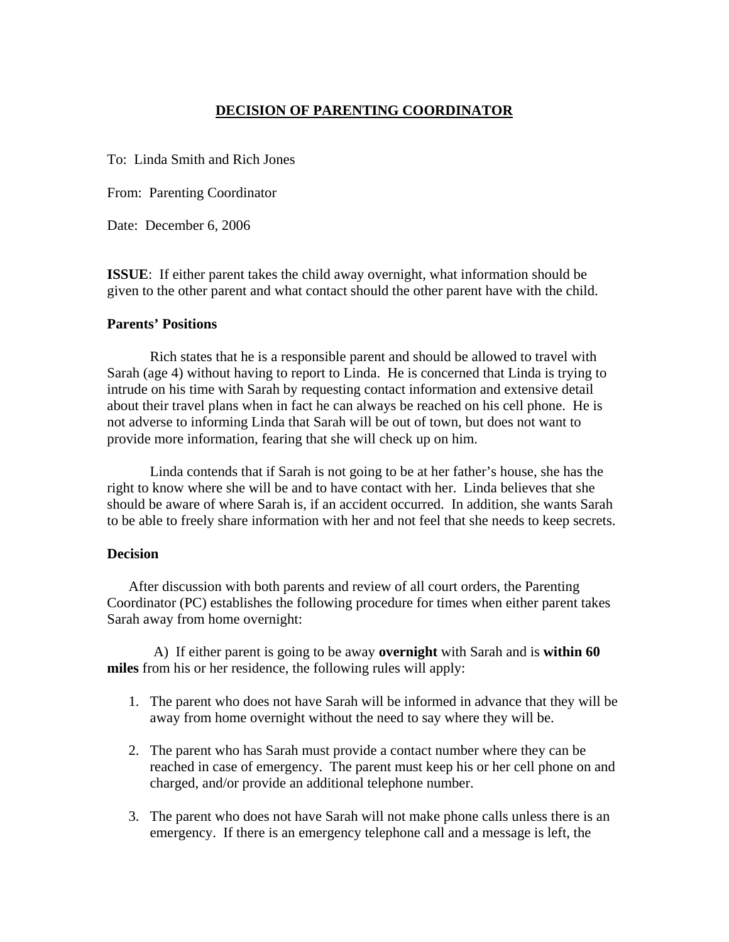## **DECISION OF PARENTING COORDINATOR**

To: Linda Smith and Rich Jones

From: Parenting Coordinator

Date: December 6, 2006

**ISSUE**: If either parent takes the child away overnight, what information should be given to the other parent and what contact should the other parent have with the child.

## **Parents' Positions**

 Rich states that he is a responsible parent and should be allowed to travel with Sarah (age 4) without having to report to Linda. He is concerned that Linda is trying to intrude on his time with Sarah by requesting contact information and extensive detail about their travel plans when in fact he can always be reached on his cell phone. He is not adverse to informing Linda that Sarah will be out of town, but does not want to provide more information, fearing that she will check up on him.

 Linda contends that if Sarah is not going to be at her father's house, she has the right to know where she will be and to have contact with her. Linda believes that she should be aware of where Sarah is, if an accident occurred. In addition, she wants Sarah to be able to freely share information with her and not feel that she needs to keep secrets.

## **Decision**

After discussion with both parents and review of all court orders, the Parenting Coordinator (PC) establishes the following procedure for times when either parent takes Sarah away from home overnight:

 A) If either parent is going to be away **overnight** with Sarah and is **within 60 miles** from his or her residence, the following rules will apply:

- 1. The parent who does not have Sarah will be informed in advance that they will be away from home overnight without the need to say where they will be.
- 2. The parent who has Sarah must provide a contact number where they can be reached in case of emergency. The parent must keep his or her cell phone on and charged, and/or provide an additional telephone number.
- 3. The parent who does not have Sarah will not make phone calls unless there is an emergency. If there is an emergency telephone call and a message is left, the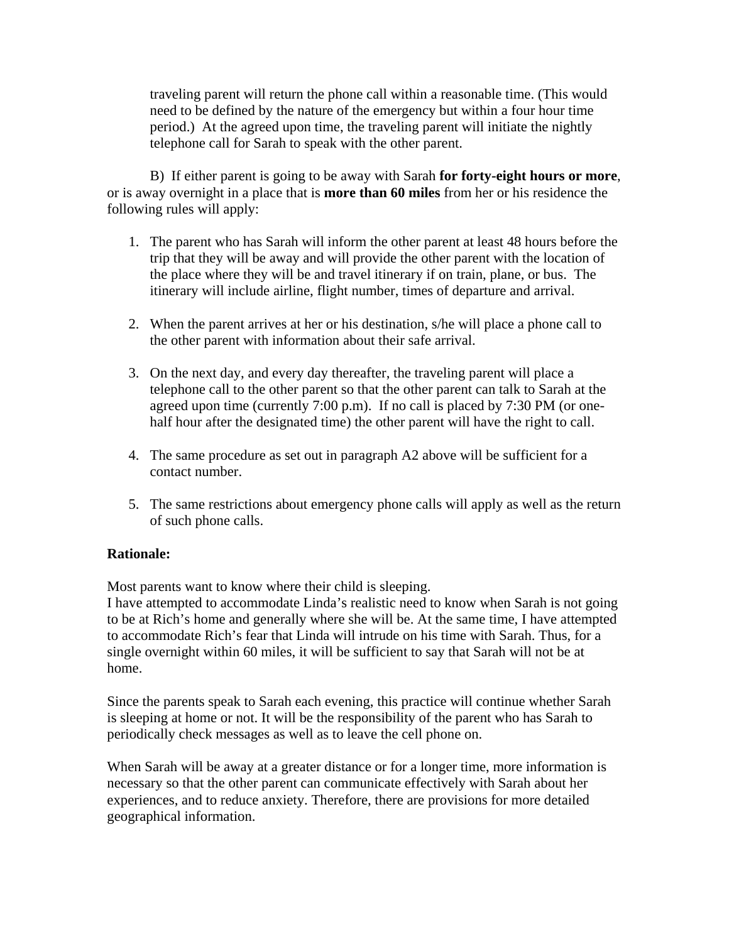traveling parent will return the phone call within a reasonable time. (This would need to be defined by the nature of the emergency but within a four hour time period.) At the agreed upon time, the traveling parent will initiate the nightly telephone call for Sarah to speak with the other parent.

 B) If either parent is going to be away with Sarah **for forty-eight hours or more**, or is away overnight in a place that is **more than 60 miles** from her or his residence the following rules will apply:

- 1. The parent who has Sarah will inform the other parent at least 48 hours before the trip that they will be away and will provide the other parent with the location of the place where they will be and travel itinerary if on train, plane, or bus. The itinerary will include airline, flight number, times of departure and arrival.
- 2. When the parent arrives at her or his destination, s/he will place a phone call to the other parent with information about their safe arrival.
- 3. On the next day, and every day thereafter, the traveling parent will place a telephone call to the other parent so that the other parent can talk to Sarah at the agreed upon time (currently 7:00 p.m). If no call is placed by 7:30 PM (or onehalf hour after the designated time) the other parent will have the right to call.
- 4. The same procedure as set out in paragraph A2 above will be sufficient for a contact number.
- 5. The same restrictions about emergency phone calls will apply as well as the return of such phone calls.

## **Rationale:**

Most parents want to know where their child is sleeping.

I have attempted to accommodate Linda's realistic need to know when Sarah is not going to be at Rich's home and generally where she will be. At the same time, I have attempted to accommodate Rich's fear that Linda will intrude on his time with Sarah. Thus, for a single overnight within 60 miles, it will be sufficient to say that Sarah will not be at home.

Since the parents speak to Sarah each evening, this practice will continue whether Sarah is sleeping at home or not. It will be the responsibility of the parent who has Sarah to periodically check messages as well as to leave the cell phone on.

When Sarah will be away at a greater distance or for a longer time, more information is necessary so that the other parent can communicate effectively with Sarah about her experiences, and to reduce anxiety. Therefore, there are provisions for more detailed geographical information.